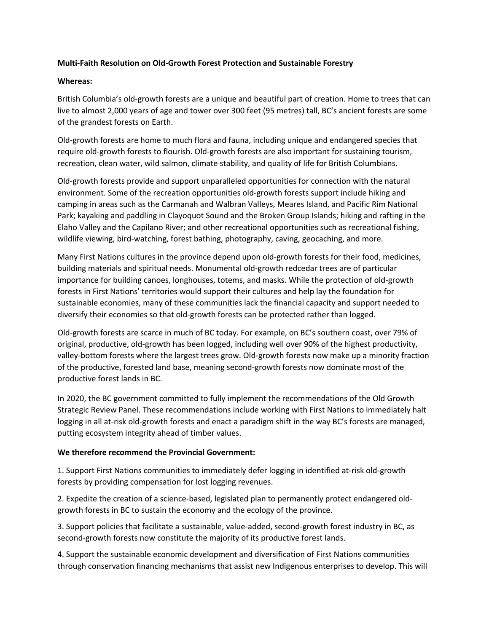## **Multi-Faith Resolution on Old-Growth Forest Protection and Sustainable Forestry**

## **Whereas:**

British Columbia's old-growth forests are a unique and beautiful part of creation. Home to trees that can live to almost 2,000 years of age and tower over 300 feet (95 metres) tall, BC's ancient forests are some of the grandest forests on Earth.

Old-growth forests are home to much flora and fauna, including unique and endangered species that require old-growth forests to flourish. Old-growth forests are also important for sustaining tourism, recreation, clean water, wild salmon, climate stability, and quality of life for British Columbians.

Old-growth forests provide and support unparalleled opportunities for connection with the natural environment. Some of the recreation opportunities old-growth forests support include hiking and camping in areas such as the Carmanah and Walbran Valleys, Meares Island, and Pacific Rim National Park; kayaking and paddling in Clayoquot Sound and the Broken Group Islands; hiking and rafting in the Elaho Valley and the Capilano River; and other recreational opportunities such as recreational fishing, wildlife viewing, bird-watching, forest bathing, photography, caving, geocaching, and more.

Many First Nations cultures in the province depend upon old-growth forests for their food, medicines, building materials and spiritual needs. Monumental old-growth redcedar trees are of particular importance for building canoes, longhouses, totems, and masks. While the protection of old-growth forests in First Nations' territories would support their cultures and help lay the foundation for sustainable economies, many of these communities lack the financial capacity and support needed to diversify their economies so that old-growth forests can be protected rather than logged.

Old-growth forests are scarce in much of BC today. For example, on BC's southern coast, over 79% of original, productive, old-growth has been logged, including well over 90% of the highest productivity, valley-bottom forests where the largest trees grow. Old-growth forests now make up a minority fraction of the productive, forested land base, meaning second-growth forests now dominate most of the productive forest lands in BC.

In 2020, the BC government committed to fully implement the recommendations of the Old Growth Strategic Review Panel. These recommendations include working with First Nations to immediately halt logging in all at-risk old-growth forests and enact a paradigm shift in the way BC's forests are managed, putting ecosystem integrity ahead of timber values.

## **We therefore recommend the Provincial Government:**

1. Support First Nations communities to immediately defer logging in identified at-risk old-growth forests by providing compensation for lost logging revenues.

2. Expedite the creation of a science-based, legislated plan to permanently protect endangered oldgrowth forests in BC to sustain the economy and the ecology of the province.

3. Support policies that facilitate a sustainable, value-added, second-growth forest industry in BC, as second-growth forests now constitute the majority of its productive forest lands.

4. Support the sustainable economic development and diversification of First Nations communities through conservation financing mechanisms that assist new Indigenous enterprises to develop. This will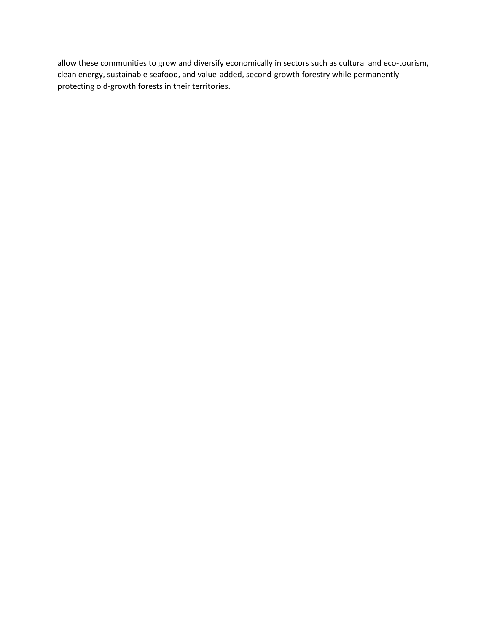allow these communities to grow and diversify economically in sectors such as cultural and eco-tourism, clean energy, sustainable seafood, and value-added, second-growth forestry while permanently protecting old-growth forests in their territories.